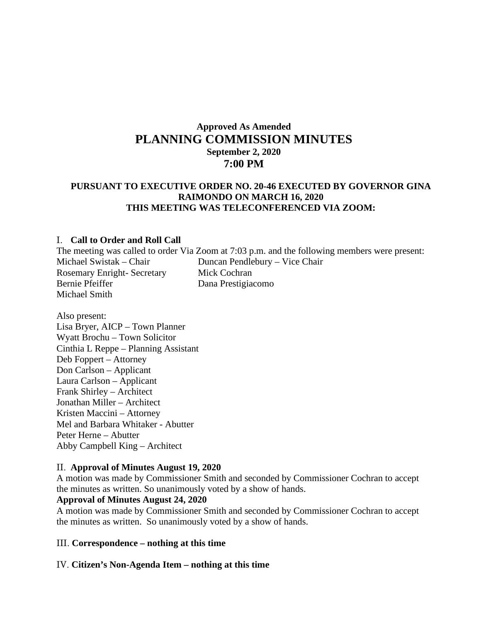# **Approved As Amended PLANNING COMMISSION MINUTES September 2, 2020 7:00 PM**

## **PURSUANT TO EXECUTIVE ORDER NO. 20-46 EXECUTED BY GOVERNOR GINA RAIMONDO ON MARCH 16, 2020 THIS MEETING WAS TELECONFERENCED VIA ZOOM:**

#### I. **Call to Order and Roll Call**

The meeting was called to order Via Zoom at 7:03 p.m. and the following members were present: Michael Swistak – Chair Duncan Pendlebury – Vice Chair Rosemary Enright- Secretary Mick Cochran Bernie Pfeiffer Dana Prestigiacomo Michael Smith

Also present: Lisa Bryer, AICP – Town Planner Wyatt Brochu – Town Solicitor Cinthia L Reppe – Planning Assistant Deb Foppert – Attorney Don Carlson – Applicant Laura Carlson – Applicant Frank Shirley – Architect Jonathan Miller – Architect Kristen Maccini – Attorney Mel and Barbara Whitaker - Abutter Peter Herne – Abutter Abby Campbell King – Architect

#### II. **Approval of Minutes August 19, 2020**

A motion was made by Commissioner Smith and seconded by Commissioner Cochran to accept the minutes as written. So unanimously voted by a show of hands.

#### **Approval of Minutes August 24, 2020**

A motion was made by Commissioner Smith and seconded by Commissioner Cochran to accept the minutes as written. So unanimously voted by a show of hands.

### III. **Correspondence – nothing at this time**

#### IV. **Citizen's Non-Agenda Item – nothing at this time**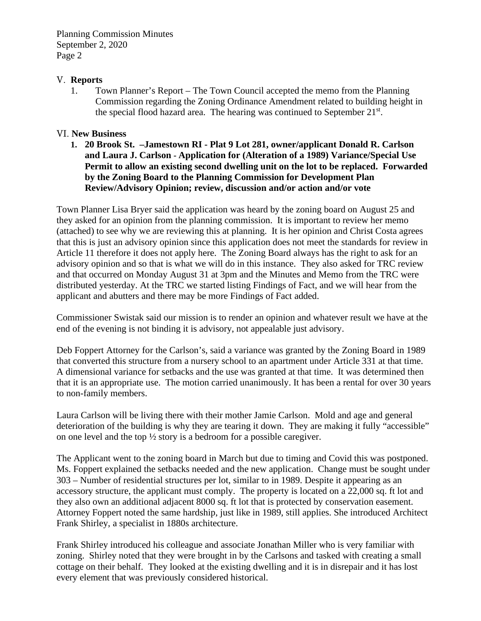## V. **Reports**

1. Town Planner's Report – The Town Council accepted the memo from the Planning Commission regarding the Zoning Ordinance Amendment related to building height in the special flood hazard area. The hearing was continued to September  $21^{st}$ .

## VI. **New Business**

**1. 20 Brook St. –Jamestown RI - Plat 9 Lot 281, owner/applicant Donald R. Carlson and Laura J. Carlson - Application for (Alteration of a 1989) Variance/Special Use Permit to allow an existing second dwelling unit on the lot to be replaced. Forwarded by the Zoning Board to the Planning Commission for Development Plan Review/Advisory Opinion; review, discussion and/or action and/or vote**

Town Planner Lisa Bryer said the application was heard by the zoning board on August 25 and they asked for an opinion from the planning commission. It is important to review her memo (attached) to see why we are reviewing this at planning. It is her opinion and Christ Costa agrees that this is just an advisory opinion since this application does not meet the standards for review in Article 11 therefore it does not apply here. The Zoning Board always has the right to ask for an advisory opinion and so that is what we will do in this instance. They also asked for TRC review and that occurred on Monday August 31 at 3pm and the Minutes and Memo from the TRC were distributed yesterday. At the TRC we started listing Findings of Fact, and we will hear from the applicant and abutters and there may be more Findings of Fact added.

Commissioner Swistak said our mission is to render an opinion and whatever result we have at the end of the evening is not binding it is advisory, not appealable just advisory.

Deb Foppert Attorney for the Carlson's, said a variance was granted by the Zoning Board in 1989 that converted this structure from a nursery school to an apartment under Article 331 at that time. A dimensional variance for setbacks and the use was granted at that time. It was determined then that it is an appropriate use. The motion carried unanimously. It has been a rental for over 30 years to non-family members.

Laura Carlson will be living there with their mother Jamie Carlson. Mold and age and general deterioration of the building is why they are tearing it down. They are making it fully "accessible" on one level and the top ½ story is a bedroom for a possible caregiver.

The Applicant went to the zoning board in March but due to timing and Covid this was postponed. Ms. Foppert explained the setbacks needed and the new application. Change must be sought under 303 – Number of residential structures per lot, similar to in 1989. Despite it appearing as an accessory structure, the applicant must comply. The property is located on a 22,000 sq. ft lot and they also own an additional adjacent 8000 sq. ft lot that is protected by conservation easement. Attorney Foppert noted the same hardship, just like in 1989, still applies. She introduced Architect Frank Shirley, a specialist in 1880s architecture.

Frank Shirley introduced his colleague and associate Jonathan Miller who is very familiar with zoning. Shirley noted that they were brought in by the Carlsons and tasked with creating a small cottage on their behalf. They looked at the existing dwelling and it is in disrepair and it has lost every element that was previously considered historical.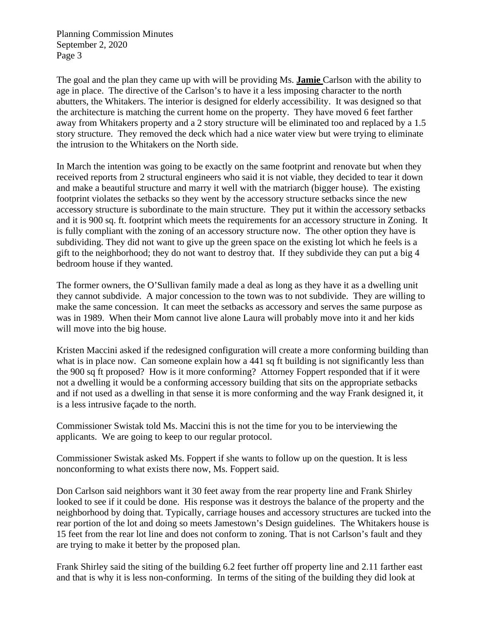The goal and the plan they came up with will be providing Ms. **Jamie** Carlson with the ability to age in place. The directive of the Carlson's to have it a less imposing character to the north abutters, the Whitakers. The interior is designed for elderly accessibility. It was designed so that the architecture is matching the current home on the property. They have moved 6 feet farther away from Whitakers property and a 2 story structure will be eliminated too and replaced by a 1.5 story structure. They removed the deck which had a nice water view but were trying to eliminate the intrusion to the Whitakers on the North side.

In March the intention was going to be exactly on the same footprint and renovate but when they received reports from 2 structural engineers who said it is not viable, they decided to tear it down and make a beautiful structure and marry it well with the matriarch (bigger house). The existing footprint violates the setbacks so they went by the accessory structure setbacks since the new accessory structure is subordinate to the main structure. They put it within the accessory setbacks and it is 900 sq. ft. footprint which meets the requirements for an accessory structure in Zoning. It is fully compliant with the zoning of an accessory structure now. The other option they have is subdividing. They did not want to give up the green space on the existing lot which he feels is a gift to the neighborhood; they do not want to destroy that. If they subdivide they can put a big 4 bedroom house if they wanted.

The former owners, the O'Sullivan family made a deal as long as they have it as a dwelling unit they cannot subdivide. A major concession to the town was to not subdivide. They are willing to make the same concession. It can meet the setbacks as accessory and serves the same purpose as was in 1989. When their Mom cannot live alone Laura will probably move into it and her kids will move into the big house.

Kristen Maccini asked if the redesigned configuration will create a more conforming building than what is in place now. Can someone explain how a 441 sq ft building is not significantly less than the 900 sq ft proposed? How is it more conforming? Attorney Foppert responded that if it were not a dwelling it would be a conforming accessory building that sits on the appropriate setbacks and if not used as a dwelling in that sense it is more conforming and the way Frank designed it, it is a less intrusive façade to the north.

Commissioner Swistak told Ms. Maccini this is not the time for you to be interviewing the applicants. We are going to keep to our regular protocol.

Commissioner Swistak asked Ms. Foppert if she wants to follow up on the question. It is less nonconforming to what exists there now, Ms. Foppert said.

Don Carlson said neighbors want it 30 feet away from the rear property line and Frank Shirley looked to see if it could be done. His response was it destroys the balance of the property and the neighborhood by doing that. Typically, carriage houses and accessory structures are tucked into the rear portion of the lot and doing so meets Jamestown's Design guidelines. The Whitakers house is 15 feet from the rear lot line and does not conform to zoning. That is not Carlson's fault and they are trying to make it better by the proposed plan.

Frank Shirley said the siting of the building 6.2 feet further off property line and 2.11 farther east and that is why it is less non-conforming. In terms of the siting of the building they did look at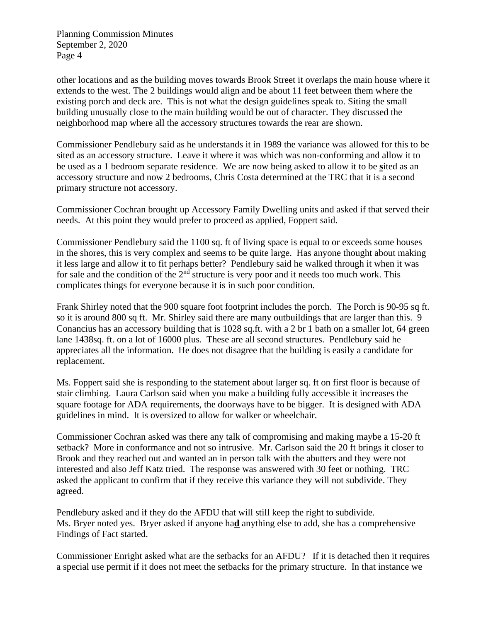other locations and as the building moves towards Brook Street it overlaps the main house where it extends to the west. The 2 buildings would align and be about 11 feet between them where the existing porch and deck are. This is not what the design guidelines speak to. Siting the small building unusually close to the main building would be out of character. They discussed the neighborhood map where all the accessory structures towards the rear are shown.

Commissioner Pendlebury said as he understands it in 1989 the variance was allowed for this to be sited as an accessory structure. Leave it where it was which was non-conforming and allow it to be used as a 1 bedroom separate residence. We are now being asked to allow it to be **s**ited as an accessory structure and now 2 bedrooms, Chris Costa determined at the TRC that it is a second primary structure not accessory.

Commissioner Cochran brought up Accessory Family Dwelling units and asked if that served their needs. At this point they would prefer to proceed as applied, Foppert said.

Commissioner Pendlebury said the 1100 sq. ft of living space is equal to or exceeds some houses in the shores, this is very complex and seems to be quite large. Has anyone thought about making it less large and allow it to fit perhaps better? Pendlebury said he walked through it when it was for sale and the condition of the  $2<sup>nd</sup>$  structure is very poor and it needs too much work. This complicates things for everyone because it is in such poor condition.

Frank Shirley noted that the 900 square foot footprint includes the porch. The Porch is 90-95 sq ft. so it is around 800 sq ft. Mr. Shirley said there are many outbuildings that are larger than this. 9 Conancius has an accessory building that is 1028 sq.ft. with a 2 br 1 bath on a smaller lot, 64 green lane 1438sq. ft. on a lot of 16000 plus. These are all second structures. Pendlebury said he appreciates all the information. He does not disagree that the building is easily a candidate for replacement.

Ms. Foppert said she is responding to the statement about larger sq. ft on first floor is because of stair climbing. Laura Carlson said when you make a building fully accessible it increases the square footage for ADA requirements, the doorways have to be bigger. It is designed with ADA guidelines in mind. It is oversized to allow for walker or wheelchair.

Commissioner Cochran asked was there any talk of compromising and making maybe a 15-20 ft setback? More in conformance and not so intrusive. Mr. Carlson said the 20 ft brings it closer to Brook and they reached out and wanted an in person talk with the abutters and they were not interested and also Jeff Katz tried. The response was answered with 30 feet or nothing. TRC asked the applicant to confirm that if they receive this variance they will not subdivide. They agreed.

Pendlebury asked and if they do the AFDU that will still keep the right to subdivide. Ms. Bryer noted yes. Bryer asked if anyone ha**d** anything else to add, she has a comprehensive Findings of Fact started.

Commissioner Enright asked what are the setbacks for an AFDU? If it is detached then it requires a special use permit if it does not meet the setbacks for the primary structure. In that instance we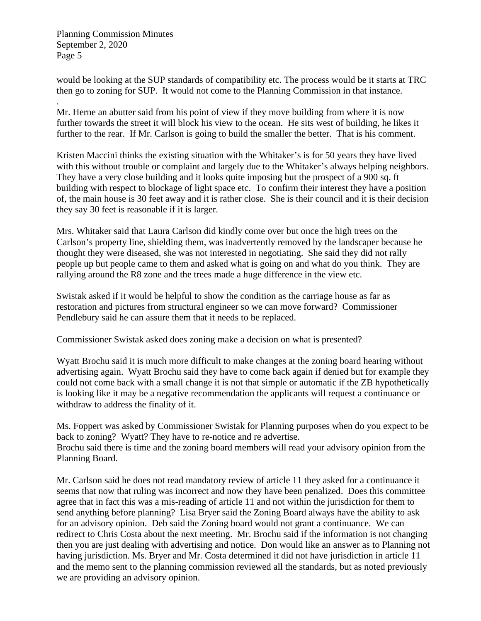would be looking at the SUP standards of compatibility etc. The process would be it starts at TRC then go to zoning for SUP. It would not come to the Planning Commission in that instance.

. Mr. Herne an abutter said from his point of view if they move building from where it is now further towards the street it will block his view to the ocean. He sits west of building, he likes it further to the rear. If Mr. Carlson is going to build the smaller the better. That is his comment.

Kristen Maccini thinks the existing situation with the Whitaker's is for 50 years they have lived with this without trouble or complaint and largely due to the Whitaker's always helping neighbors. They have a very close building and it looks quite imposing but the prospect of a 900 sq. ft building with respect to blockage of light space etc. To confirm their interest they have a position of, the main house is 30 feet away and it is rather close. She is their council and it is their decision they say 30 feet is reasonable if it is larger.

Mrs. Whitaker said that Laura Carlson did kindly come over but once the high trees on the Carlson's property line, shielding them, was inadvertently removed by the landscaper because he thought they were diseased, she was not interested in negotiating. She said they did not rally people up but people came to them and asked what is going on and what do you think. They are rallying around the R8 zone and the trees made a huge difference in the view etc.

Swistak asked if it would be helpful to show the condition as the carriage house as far as restoration and pictures from structural engineer so we can move forward? Commissioner Pendlebury said he can assure them that it needs to be replaced.

Commissioner Swistak asked does zoning make a decision on what is presented?

Wyatt Brochu said it is much more difficult to make changes at the zoning board hearing without advertising again. Wyatt Brochu said they have to come back again if denied but for example they could not come back with a small change it is not that simple or automatic if the ZB hypothetically is looking like it may be a negative recommendation the applicants will request a continuance or withdraw to address the finality of it.

Ms. Foppert was asked by Commissioner Swistak for Planning purposes when do you expect to be back to zoning? Wyatt? They have to re-notice and re advertise. Brochu said there is time and the zoning board members will read your advisory opinion from the Planning Board.

Mr. Carlson said he does not read mandatory review of article 11 they asked for a continuance it seems that now that ruling was incorrect and now they have been penalized. Does this committee agree that in fact this was a mis-reading of article 11 and not within the jurisdiction for them to send anything before planning? Lisa Bryer said the Zoning Board always have the ability to ask for an advisory opinion. Deb said the Zoning board would not grant a continuance. We can redirect to Chris Costa about the next meeting. Mr. Brochu said if the information is not changing then you are just dealing with advertising and notice. Don would like an answer as to Planning not having jurisdiction. Ms. Bryer and Mr. Costa determined it did not have jurisdiction in article 11 and the memo sent to the planning commission reviewed all the standards, but as noted previously we are providing an advisory opinion.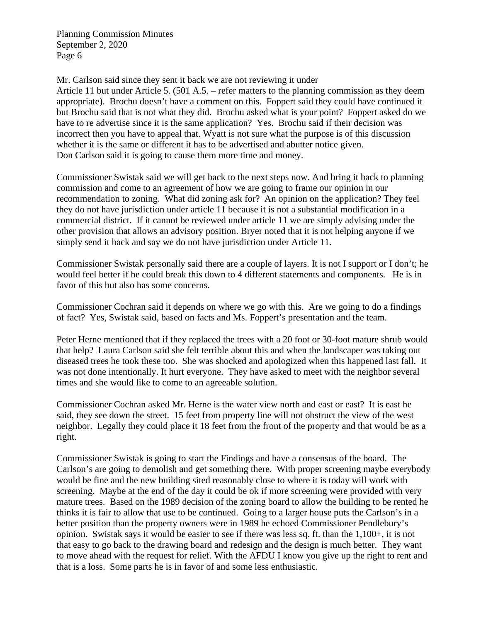Mr. Carlson said since they sent it back we are not reviewing it under

Article 11 but under Article 5. (501 A.5. – refer matters to the planning commission as they deem appropriate). Brochu doesn't have a comment on this. Foppert said they could have continued it but Brochu said that is not what they did. Brochu asked what is your point? Foppert asked do we have to re advertise since it is the same application? Yes. Brochu said if their decision was incorrect then you have to appeal that. Wyatt is not sure what the purpose is of this discussion whether it is the same or different it has to be advertised and abutter notice given. Don Carlson said it is going to cause them more time and money.

Commissioner Swistak said we will get back to the next steps now. And bring it back to planning commission and come to an agreement of how we are going to frame our opinion in our recommendation to zoning. What did zoning ask for? An opinion on the application? They feel they do not have jurisdiction under article 11 because it is not a substantial modification in a commercial district. If it cannot be reviewed under article 11 we are simply advising under the other provision that allows an advisory position. Bryer noted that it is not helping anyone if we simply send it back and say we do not have jurisdiction under Article 11.

Commissioner Swistak personally said there are a couple of layers. It is not I support or I don't; he would feel better if he could break this down to 4 different statements and components. He is in favor of this but also has some concerns.

Commissioner Cochran said it depends on where we go with this. Are we going to do a findings of fact? Yes, Swistak said, based on facts and Ms. Foppert's presentation and the team.

Peter Herne mentioned that if they replaced the trees with a 20 foot or 30-foot mature shrub would that help? Laura Carlson said she felt terrible about this and when the landscaper was taking out diseased trees he took these too. She was shocked and apologized when this happened last fall. It was not done intentionally. It hurt everyone. They have asked to meet with the neighbor several times and she would like to come to an agreeable solution.

Commissioner Cochran asked Mr. Herne is the water view north and east or east? It is east he said, they see down the street. 15 feet from property line will not obstruct the view of the west neighbor. Legally they could place it 18 feet from the front of the property and that would be as a right.

Commissioner Swistak is going to start the Findings and have a consensus of the board. The Carlson's are going to demolish and get something there. With proper screening maybe everybody would be fine and the new building sited reasonably close to where it is today will work with screening. Maybe at the end of the day it could be ok if more screening were provided with very mature trees. Based on the 1989 decision of the zoning board to allow the building to be rented he thinks it is fair to allow that use to be continued. Going to a larger house puts the Carlson's in a better position than the property owners were in 1989 he echoed Commissioner Pendlebury's opinion. Swistak says it would be easier to see if there was less sq. ft. than the 1,100+, it is not that easy to go back to the drawing board and redesign and the design is much better. They want to move ahead with the request for relief. With the AFDU I know you give up the right to rent and that is a loss. Some parts he is in favor of and some less enthusiastic.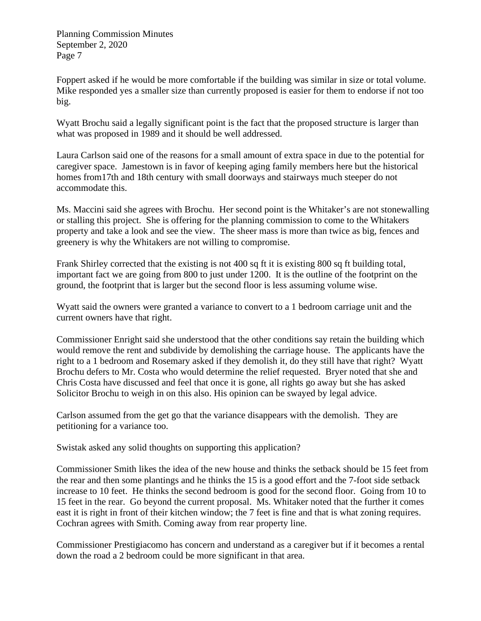Foppert asked if he would be more comfortable if the building was similar in size or total volume. Mike responded yes a smaller size than currently proposed is easier for them to endorse if not too big.

Wyatt Brochu said a legally significant point is the fact that the proposed structure is larger than what was proposed in 1989 and it should be well addressed.

Laura Carlson said one of the reasons for a small amount of extra space in due to the potential for caregiver space. Jamestown is in favor of keeping aging family members here but the historical homes from17th and 18th century with small doorways and stairways much steeper do not accommodate this.

Ms. Maccini said she agrees with Brochu. Her second point is the Whitaker's are not stonewalling or stalling this project. She is offering for the planning commission to come to the Whitakers property and take a look and see the view. The sheer mass is more than twice as big, fences and greenery is why the Whitakers are not willing to compromise.

Frank Shirley corrected that the existing is not 400 sq ft it is existing 800 sq ft building total, important fact we are going from 800 to just under 1200. It is the outline of the footprint on the ground, the footprint that is larger but the second floor is less assuming volume wise.

Wyatt said the owners were granted a variance to convert to a 1 bedroom carriage unit and the current owners have that right.

Commissioner Enright said she understood that the other conditions say retain the building which would remove the rent and subdivide by demolishing the carriage house. The applicants have the right to a 1 bedroom and Rosemary asked if they demolish it, do they still have that right? Wyatt Brochu defers to Mr. Costa who would determine the relief requested. Bryer noted that she and Chris Costa have discussed and feel that once it is gone, all rights go away but she has asked Solicitor Brochu to weigh in on this also. His opinion can be swayed by legal advice.

Carlson assumed from the get go that the variance disappears with the demolish. They are petitioning for a variance too.

Swistak asked any solid thoughts on supporting this application?

Commissioner Smith likes the idea of the new house and thinks the setback should be 15 feet from the rear and then some plantings and he thinks the 15 is a good effort and the 7-foot side setback increase to 10 feet. He thinks the second bedroom is good for the second floor. Going from 10 to 15 feet in the rear. Go beyond the current proposal. Ms. Whitaker noted that the further it comes east it is right in front of their kitchen window; the 7 feet is fine and that is what zoning requires. Cochran agrees with Smith. Coming away from rear property line.

Commissioner Prestigiacomo has concern and understand as a caregiver but if it becomes a rental down the road a 2 bedroom could be more significant in that area.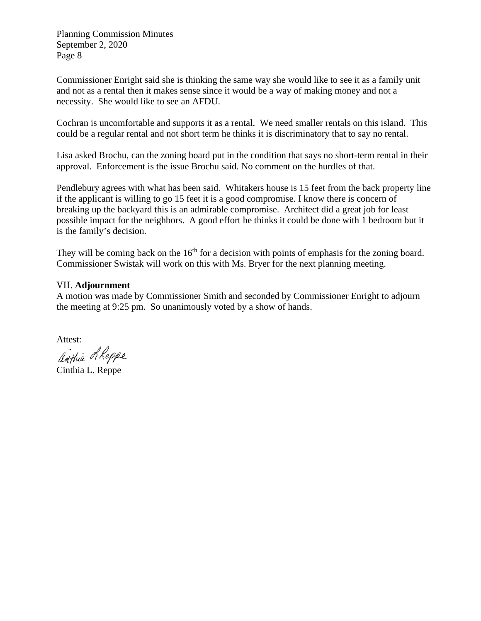Commissioner Enright said she is thinking the same way she would like to see it as a family unit and not as a rental then it makes sense since it would be a way of making money and not a necessity. She would like to see an AFDU.

Cochran is uncomfortable and supports it as a rental. We need smaller rentals on this island. This could be a regular rental and not short term he thinks it is discriminatory that to say no rental.

Lisa asked Brochu, can the zoning board put in the condition that says no short-term rental in their approval. Enforcement is the issue Brochu said. No comment on the hurdles of that.

Pendlebury agrees with what has been said. Whitakers house is 15 feet from the back property line if the applicant is willing to go 15 feet it is a good compromise. I know there is concern of breaking up the backyard this is an admirable compromise. Architect did a great job for least possible impact for the neighbors. A good effort he thinks it could be done with 1 bedroom but it is the family's decision.

They will be coming back on the  $16<sup>th</sup>$  for a decision with points of emphasis for the zoning board. Commissioner Swistak will work on this with Ms. Bryer for the next planning meeting.

#### VII. **Adjournment**

A motion was made by Commissioner Smith and seconded by Commissioner Enright to adjourn the meeting at 9:25 pm. So unanimously voted by a show of hands.

Attest:

anthia LReppe

Cinthia L. Reppe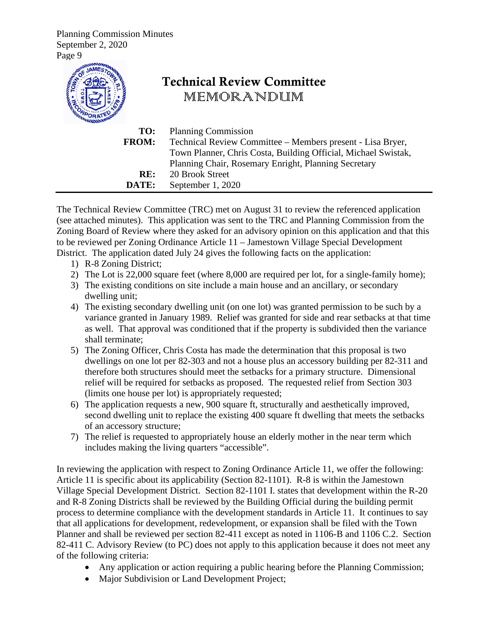

The Technical Review Committee (TRC) met on August 31 to review the referenced application (see attached minutes). This application was sent to the TRC and Planning Commission from the Zoning Board of Review where they asked for an advisory opinion on this application and that this to be reviewed per Zoning Ordinance Article 11 – Jamestown Village Special Development District. The application dated July 24 gives the following facts on the application:

- 1) R-8 Zoning District;
- 2) The Lot is 22,000 square feet (where 8,000 are required per lot, for a single-family home);
- 3) The existing conditions on site include a main house and an ancillary, or secondary dwelling unit;
- 4) The existing secondary dwelling unit (on one lot) was granted permission to be such by a variance granted in January 1989. Relief was granted for side and rear setbacks at that time as well. That approval was conditioned that if the property is subdivided then the variance shall terminate;
- 5) The Zoning Officer, Chris Costa has made the determination that this proposal is two dwellings on one lot per 82-303 and not a house plus an accessory building per 82-311 and therefore both structures should meet the setbacks for a primary structure. Dimensional relief will be required for setbacks as proposed. The requested relief from Section 303 (limits one house per lot) is appropriately requested;
- 6) The application requests a new, 900 square ft, structurally and aesthetically improved, second dwelling unit to replace the existing 400 square ft dwelling that meets the setbacks of an accessory structure;
- 7) The relief is requested to appropriately house an elderly mother in the near term which includes making the living quarters "accessible".

In reviewing the application with respect to Zoning Ordinance Article 11, we offer the following: Article 11 is specific about its applicability (Section 82-1101). R-8 is within the Jamestown Village Special Development District. Section 82-1101 I. states that development within the R-20 and R-8 Zoning Districts shall be reviewed by the Building Official during the building permit process to determine compliance with the development standards in Article 11. It continues to say that all applications for development, redevelopment, or expansion shall be filed with the Town Planner and shall be reviewed per section 82-411 except as noted in 1106-B and 1106 C.2. Section 82-411 C. Advisory Review (to PC) does not apply to this application because it does not meet any of the following criteria:

- Any application or action requiring a public hearing before the Planning Commission;
- Major Subdivision or Land Development Project;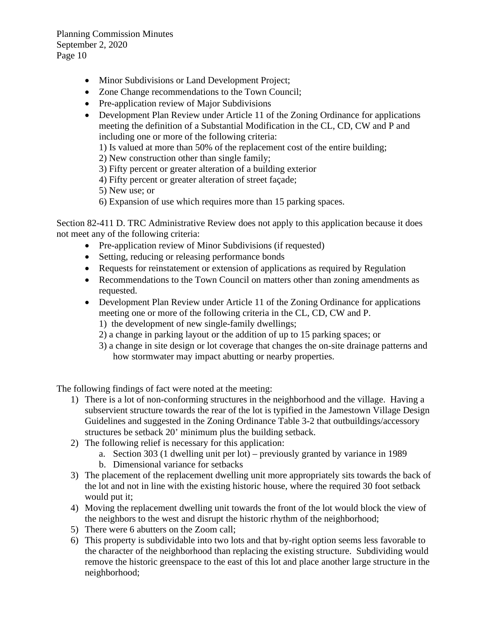- Minor Subdivisions or Land Development Project;
- Zone Change recommendations to the Town Council;
- Pre-application review of Major Subdivisions
- Development Plan Review under Article 11 of the Zoning Ordinance for applications meeting the definition of a Substantial Modification in the CL, CD, CW and P and including one or more of the following criteria:
	- 1) Is valued at more than 50% of the replacement cost of the entire building;
	- 2) New construction other than single family;
	- 3) Fifty percent or greater alteration of a building exterior
	- 4) Fifty percent or greater alteration of street façade;

5) New use; or

6) Expansion of use which requires more than 15 parking spaces.

Section 82-411 D. TRC Administrative Review does not apply to this application because it does not meet any of the following criteria:

- Pre-application review of Minor Subdivisions (if requested)
- Setting, reducing or releasing performance bonds
- Requests for reinstatement or extension of applications as required by Regulation
- Recommendations to the Town Council on matters other than zoning amendments as requested.
- Development Plan Review under Article 11 of the Zoning Ordinance for applications meeting one or more of the following criteria in the CL, CD, CW and P.
	- 1) the development of new single-family dwellings;
	- 2) a change in parking layout or the addition of up to 15 parking spaces; or
	- 3) a change in site design or lot coverage that changes the on-site drainage patterns and how stormwater may impact abutting or nearby properties.

The following findings of fact were noted at the meeting:

- 1) There is a lot of non-conforming structures in the neighborhood and the village. Having a subservient structure towards the rear of the lot is typified in the Jamestown Village Design Guidelines and suggested in the Zoning Ordinance Table 3-2 that outbuildings/accessory structures be setback 20' minimum plus the building setback.
- 2) The following relief is necessary for this application:
	- a. Section 303 (1 dwelling unit per lot) previously granted by variance in 1989
	- b. Dimensional variance for setbacks
- 3) The placement of the replacement dwelling unit more appropriately sits towards the back of the lot and not in line with the existing historic house, where the required 30 foot setback would put it;
- 4) Moving the replacement dwelling unit towards the front of the lot would block the view of the neighbors to the west and disrupt the historic rhythm of the neighborhood;
- 5) There were 6 abutters on the Zoom call;
- 6) This property is subdividable into two lots and that by-right option seems less favorable to the character of the neighborhood than replacing the existing structure. Subdividing would remove the historic greenspace to the east of this lot and place another large structure in the neighborhood;